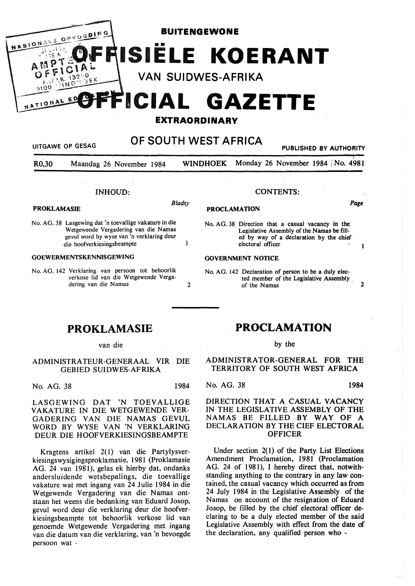

R0,30 Maandag 26 November 1984 WINDHOEK Monday 26 November 1984 | No. 4981

## INHOUD:

# **PROKLAMASIE** *Bladsy*

- 
- No. AG. 38 Lasgewing dat 'n toevallige vakature in die Wetgewende Vergadering van die Namas gevul word by wyse van 'n verklaring deur die hoofverkiesingsbeampte 1

## **GOEWERMENTSKENNISGEWING**

No. AG. 142 Verklaring van persoon tot behoorlik verkose lid van die Wetgewende Vergadering van die Namas 2

#### CONTENTS:

# **PROCLAMATION Page**

No. AG. 38 Direction that a casual vacancy in the Legislative Assembly of the Namas be filled by way of a declaration by the chief electoral officer

#### **GOVERNMENT NOTICE**

- No. AG. 142 Declaration of person to be a duly elected member of the Legislative Assembly , of the Namas 2
- PROKLAMASIE

#### van die

### ADMINISTRA TEUR-GENERAAL VIR DIE GEBIED SUIDWES-AFRIKA

No. AG. 38 1984

LASGEWING DAT 'N TOEVALLIGE VAKA TURE IN DIE WETGEWENDE VER-GADERING VAN DIE NAMAS GEVUL WORD BY WYSE VAN 'N VERKLARING DEUR DIE HOOFVERKIESINGSBEAMPTE

Kragtens artikel 2( I) van die Partylysverkiesingswysigingsproklamasie, 1981 (Proklamasie AG. 24 van 1981), gelas ek hierby dat, ondanks andersluidende wetsbepalings, die toevallige vakature wat met ingang van 24 Julie 1984 in die Wetgewende Vergadering van die Namas ontstaan het weens die bedanking van Eduard Josop, gevul word deur die verklaring deur die hoofverkiesingsbeampte tot behoorlik verkose lid van genoemde Wetgewende Vergadering met ingang van die datum van die verklaring, van 'n bevoegde persoon wat -

## **PROCLAMATION**

#### by the

ADMINISTRATOR-GENERAL FOR THE TERRITORY OF SOUTH WEST AFRICA

No. AG. 38 1984

 $\mathbf{1}$ 

## DIRECTION THAT A CASUAL **VACANCY**  IN THE LEGISLATIVE ASSEMBLY OF THE NAMAS BE FILLED BY WAY OF A DECLARATION BY THE CIEF ELECTORAL **OFFICER**

Under section  $2(1)$  of the Party List Elections Amendment Proclamation, 1981 (Proclamation AG. 24 of 1981), I hereby direct that, notwithstanding anything to the contrary in any law contained, the casual vacancy which occurred as from 24 July 1984 in the Legislative Assembly of the Namas on account of the resignation of Eduard Josop, be filled by the chief electoral officer declaring to be a duly elected member of the said Legislative Assembly with effect from the date of the declaration, any qualified person who -